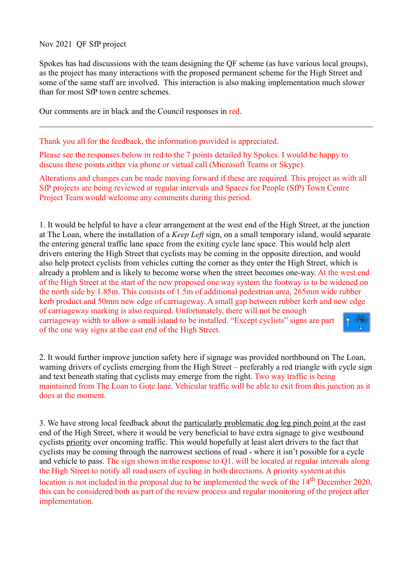Nov 2021 QF SfP project

Spokes has had discussions with the team designing the QF scheme (as have various local groups), as the project has many interactions with the proposed permanent scheme for the High Street and some of the same staff are involved. This interaction is also making implementation much slower than for most SfP town centre schemes.

Our comments are in black and the Council responses in red.

Thank you all for the feedback, the information provided is appreciated.

Please see the responses below in red to the 7 points detailed by Spokes. I would be happy to discuss these points either via phone or virtual call (Microsoft Teams or Skype).

Alterations and changes can be made moving forward if these are required. This project as with all SfP projects are being reviewed at regular intervals and Spaces for People (SfP) Town Centre Project Team would welcome any comments during this period.

1. It would be helpful to have a clear arrangement at the west end of the High Street, at the junction at The Loan, where the installation of a *Keep Left* sign, on a small temporary island, would separate the entering general traffic lane space from the exiting cycle lane space. This would help alert drivers entering the High Street that cyclists may be coming in the opposite direction, and would also help protect cyclists from vehicles cutting the corner as they enter the High Street, which is already a problem and is likely to become worse when the street becomes one-way. At the west end of the High Street at the start of the new proposed one way system the footway is to be widened on the north side by 1.85m. This consists of 1.5m of additional pedestrian area, 265mm wide rubber kerb product and 50mm new edge of carriageway. A small gap between rubber kerb and new edge of carriageway marking is also required. Unfortunately, there will not be enough carriageway width to allow a small island to be installed. "Except cyclists" signs are part of the one way signs at the east end of the High Street.

2. It would further improve junction safety here if signage was provided northbound on The Loan, warning drivers of cyclists emerging from the High Street – preferably a red triangle with cycle sign and text beneath stating that cyclists may emerge from the right. Two way traffic is being maintained from The Loan to Gote lane. Vehicular traffic will be able to exit from this junction as it does at the moment.

3. We have strong local feedback about the particularly problematic dog leg pinch point at the east end of the High Street, where it would be very beneficial to have extra signage to give westbound cyclists priority over oncoming traffic. This would hopefully at least alert drivers to the fact that cyclists may be coming through the narrowest sections of road - where it isn't possible for a cycle and vehicle to pass. The sign shown in the response to Q1. will be located at regular intervals along the High Street to notify all road users of cycling in both directions. A priority system at this location is not included in the proposal due to be implemented the week of the 14<sup>th</sup> December 2020. this can be considered both as part of the review process and regular monitoring of the project after implementation.